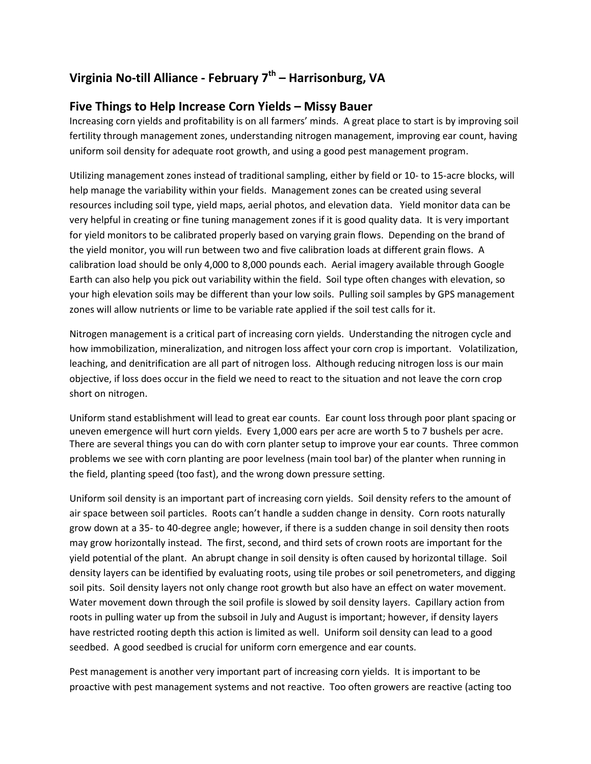## **Virginia No-till Alliance - February 7th – Harrisonburg, VA**

## **Five Things to Help Increase Corn Yields – Missy Bauer**

Increasing corn yields and profitability is on all farmers' minds. A great place to start is by improving soil fertility through management zones, understanding nitrogen management, improving ear count, having uniform soil density for adequate root growth, and using a good pest management program.

Utilizing management zones instead of traditional sampling, either by field or 10- to 15-acre blocks, will help manage the variability within your fields. Management zones can be created using several resources including soil type, yield maps, aerial photos, and elevation data. Yield monitor data can be very helpful in creating or fine tuning management zones if it is good quality data. It is very important for yield monitors to be calibrated properly based on varying grain flows. Depending on the brand of the yield monitor, you will run between two and five calibration loads at different grain flows. A calibration load should be only 4,000 to 8,000 pounds each. Aerial imagery available through Google Earth can also help you pick out variability within the field. Soil type often changes with elevation, so your high elevation soils may be different than your low soils. Pulling soil samples by GPS management zones will allow nutrients or lime to be variable rate applied if the soil test calls for it.

Nitrogen management is a critical part of increasing corn yields. Understanding the nitrogen cycle and how immobilization, mineralization, and nitrogen loss affect your corn crop is important. Volatilization, leaching, and denitrification are all part of nitrogen loss. Although reducing nitrogen loss is our main objective, if loss does occur in the field we need to react to the situation and not leave the corn crop short on nitrogen.

Uniform stand establishment will lead to great ear counts. Ear count loss through poor plant spacing or uneven emergence will hurt corn yields. Every 1,000 ears per acre are worth 5 to 7 bushels per acre. There are several things you can do with corn planter setup to improve your ear counts. Three common problems we see with corn planting are poor levelness (main tool bar) of the planter when running in the field, planting speed (too fast), and the wrong down pressure setting.

Uniform soil density is an important part of increasing corn yields. Soil density refers to the amount of air space between soil particles. Roots can't handle a sudden change in density. Corn roots naturally grow down at a 35- to 40-degree angle; however, if there is a sudden change in soil density then roots may grow horizontally instead. The first, second, and third sets of crown roots are important for the yield potential of the plant. An abrupt change in soil density is often caused by horizontal tillage. Soil density layers can be identified by evaluating roots, using tile probes or soil penetrometers, and digging soil pits. Soil density layers not only change root growth but also have an effect on water movement. Water movement down through the soil profile is slowed by soil density layers. Capillary action from roots in pulling water up from the subsoil in July and August is important; however, if density layers have restricted rooting depth this action is limited as well. Uniform soil density can lead to a good seedbed. A good seedbed is crucial for uniform corn emergence and ear counts.

Pest management is another very important part of increasing corn yields. It is important to be proactive with pest management systems and not reactive. Too often growers are reactive (acting too